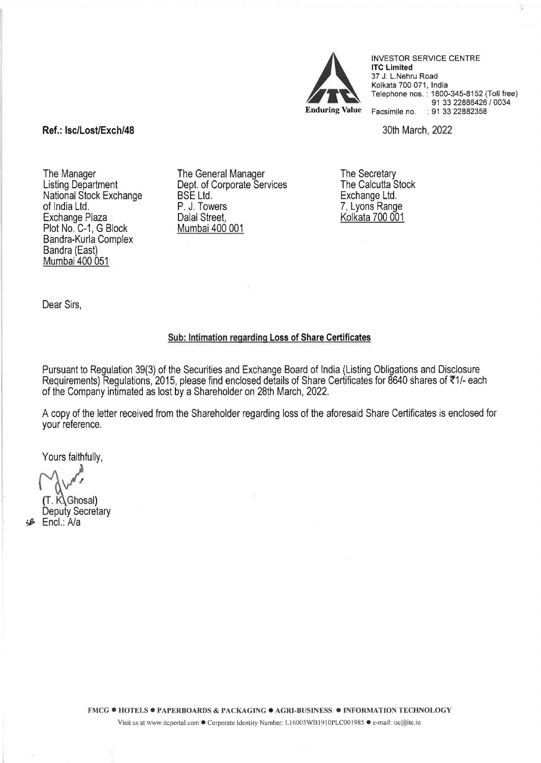

INVESTOR SERVICE CENTRE lTC Limited 37 J. L.Nehru Road Kolkata 700 071, India Telephone nos. : 1800-345-8152 (Toll free) 91 33 22886426 / 0034 Facsimile no. : 91 33 22882358

30th March, 2022

## Ref.: lsc/Lost/Exch/48

The Manager Listing Department National Stock Exchange of India Ltd. Exchange Plaza Plot No. C-1, G Block Bandra-Kurla Complex Bandra (East) Mumbai 400 051

The General Manager Dept. of Corporate Services BSE Ltd. P. J. Towers Dalal Street, Mumbai 400 001

The Secretary The Calcutta Stock Exchange Ltd. 7, Lyons Range Kolkata 700 001

Dear Sirs,

## Sub: Intimation regarding Loss of Share Certificates

Pursuant to Regulation 39(3) of the Securities and Exchange Board of India (Listing Obligations and Disclosure Requirements) Regulations, 2015, please find enclosed details of Share Certificates for 8640 shares of ₹1/- each of the Company intimated as lost by a Shareholder on 28th March, 2022.

A copy of the letter received from the Shareholder regarding loss of the aforesaid Share Certificates is enclosed for your reference.

Yours faithfully,

(T. K.\Ghosal)<br>Deputy Secretary *':\$* Encl.: A/a

FMCG <sup>·</sup> HOTELS · PAPERBOARDS & PACKAGING · AGRI-BUSINESS · INFORMATION TECHNOLOGY Visit us at www.itcportal.com • Corporate Identity Number: L16005WB1910PLC001985 • e-mail: isc@itc.in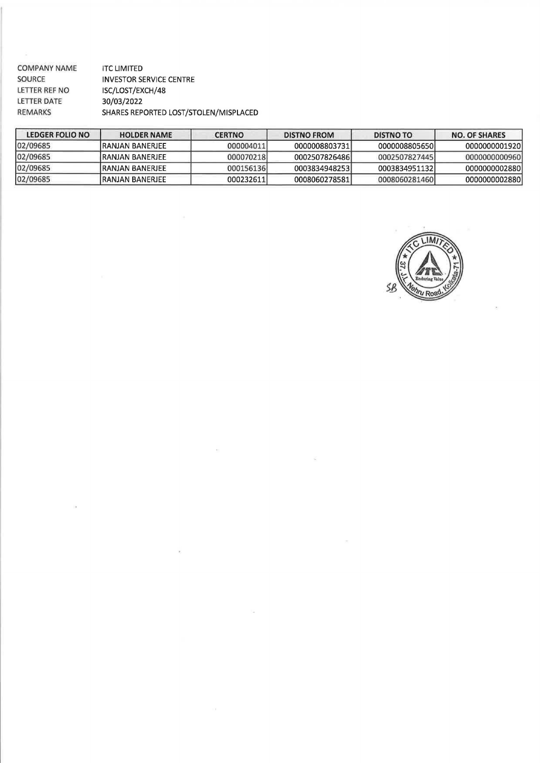| COMPANY NAME       | <b>ITC LIMITED</b>                    |
|--------------------|---------------------------------------|
| SOURCE             | <b>INVESTOR SERVICE CENTRE</b>        |
| LETTER REF NO      | ISC/LOST/EXCH/48                      |
| <b>LETTER DATE</b> | 30/03/2022                            |
| <b>REMARKS</b>     | SHARES REPORTED LOST/STOLEN/MISPLACED |
|                    |                                       |

| <b>LEDGER FOLIO NO</b> | <b>HOLDER NAME</b> | <b>CERTNO</b> | <b>DISTNO FROM</b> | <b>DISTNO TO</b> | <b>NO. OF SHARES</b> |
|------------------------|--------------------|---------------|--------------------|------------------|----------------------|
| 02/09685               | IRANJAN BANERJEE-  | 000004011     | 00000088037311     | 0000008805650    | 00000000019201       |
| 02/09685               | IRANJAN BANERIEE   | 000070218     | 00025078264861     | 0002507827445    | 00000000009601       |
| 02/09685               | IRANJAN BANERJEE   | 000156136     | 00038349482531     | 00038349511321   | 00000000028801       |
| 02/09685               | IRANJAN BANERJEE   | 0002326111    | 0008060278581      | 0008060281460    | 00000000028801       |

 $\leq$